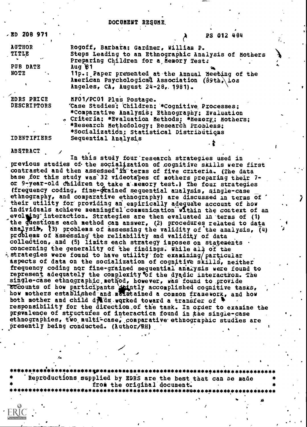## DOCUMENT RESUME.

| /ED 208 971        | PS 012 484                                           |
|--------------------|------------------------------------------------------|
| <b>AUTHOR</b>      | Rogoff, Barbara; Gardner, William P.                 |
| <b>TITLE</b>       | Steps Leading to an Ethnographic Analysis of Mothers |
| $\sim$             | Preparing Children for a Nemory Test:                |
| PUB DATE           | Aug81                                                |
| NOTE               | 11p.: Paper presented at the Annual Meeting of the   |
|                    | American Psychological Association (69th. Los        |
|                    | Angeles, $CA$ , August $24-28$ , 1981).              |
| <b>EDRS PRICE</b>  | MF01/PC01 Plus Postage.                              |
| <b>DESCRIPTORS</b> | 'Case Studies: Children: *Cognitive Processes:       |
|                    |                                                      |
|                    | *Comparative Analysis; Ethnography; Evaluation       |
|                    | « Criteria: *Evaluation Methods: *Memory, Mothers;   |
| $\bullet$ $\circ$  | * *Research Methodology; Research Problems;          |
|                    | *Socialization: Statistical Distributions            |

Sequential Analysis

**IDENTIFIERS** 

**ABSTRACT** 

In this study four research strategies used in previous studies of the socialization of cognitive skills were first contrasted and then assessed in terms of five criteria. (The data base for this study was 32 videotapes of mothers preparing their 7or 9-year-old children to take a memory test.) The four strategies (frequency coding, fine-grained sequential analysis, single-case ethnography, and comparative ethnography) are discussed in terms of their utility for providing an empirically adequate account of how individuals achieve meaningful communication within the context of an evolung interaction. Strategies are then evaluated in terms of (1) the duestions each method can answer, (2) procedures related to data analysis. (3) problems of assessing the validity of the analysis.  $(4)$ problems of assessing the reliability and validity of data collection, and (5) limits each strategy imposes on statements. concerning the generality of the findings. While all of the  $\frac{1}{2}$ , strategies were found to have utility for examining/particular aspects of data on the socialization of cognitive skills, neither frequency coding nor fine-grained sequential analysis were found to represent adequately the complexity of the dyadic interactron. The single-case ethnographic method, however, was found to provide accounts of how participants detailly accomplished cognitive tasks, how mothers established and maintained a common framework, and how both mother and child dieds worked toward a transfer of responsibility for the direction of the task. In order to examine the prevalence of structures of interaction found in the single-case ethnographies, two multi-case, comparative ethnographic studies are presently being conducted. (Author/RH)

Reproductions supplied by EDRS are the best that can be made from the original document.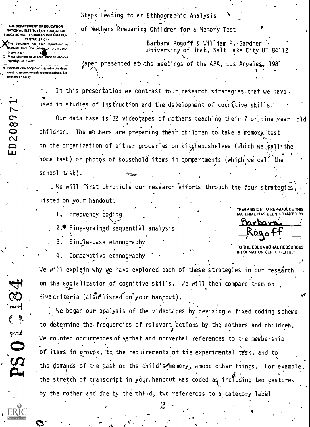U.E. DEPARTMENT OF EDUCATION NATIONAL INSTITUTE OF EDUCATION EDUCATIONAL RESOURCES INFORMATION CENTER (ERIC) This document has been reproduced as ceived from the passag or organization ongelattng it Minor changes have been trade to improve reproduction quality

 $\bullet$ 

 $\ddot{\phantom{a}}$ 

2089

 $\Xi$ 

.

Points of view or opinions stated in this document do not necessarily represent official NIE position or poky

Steps Leading to an Ethhographic Analysis of Mothers Rrpparing Children for a Memory Test

> Barbara Rogoff & William P. Gardner University of Utah, Salt Lake City UT 84112

 $\mathbf{v}_i$ Paper presented at, the meeting's of the APA, Los Angel es, 1931  $\mathbf{I}$  -  $\mathbf{I}$  -  $\mathbf{I}$  -  $\mathbf{I}$  -  $\mathbf{I}$  -  $\mathbf{I}$ 

In this presentation we contrast four research strategies that we have. used in studies of instruction and the development of cognitive skills. Our data base is'32 videotapes of mothers teaching their 7 or. nine year old children. The mothers are preparing their children to take a memory test on the organization of either groceries on kitchen.shelves (which we call the home task) or photos of household items in compartments (which we call the school task).

We will first chronicle our research efforts through the four strategies, listed on your handout:

1. Frequency coding

2.<sup>4</sup> Fine-grained sequential analysis

3.- Sin9je-case ethnography

Comparative ethnography

"PERMISSION TO REPRODUCE THIS MATERIAL HAS BEEN GRANTED BY

Barbara<br>Rogoff

TO THE EDUCATIONAL RESOURCES INFORMATION CENTER (ERIC)."

| مر

We will explain why we have explored each of these strategies in our research on the socialization of cognitive skills. We will then compare them on five criteria (also<sup>s</sup>listed on your handout).

 $\cdot$  We began our apalysis of the videotapes by devising a fixed coding scheme to determine the.frequencies of relevant 'acti'ons by the mothers and children. We counted occurrences of verbat and nonverbal references to the membership.<br>
of items in groups, to the requirements of the experimental task, and to En . . , the demands bf the task on the child's!bemory,, among other things. For example:  $\mathbb{R}$ . The stratch of transcript in your bandout was coded at including the continuous the stretch of transcript in your,handout was coded as including two gestures and by the mother and one by the child', two references to a category label

2

,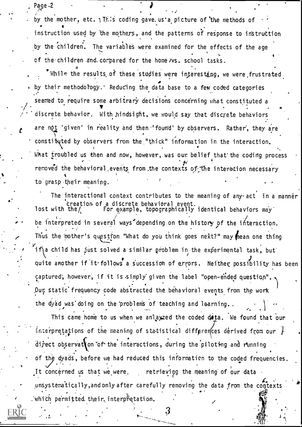by the mother, etc. This coding gave. us'a picture of the methods of instruction used by "the mother5, and the patterns of response to instruction by the children. The variables were examined for the effects of the age 4 of the children and compared for the home /vs. school tasks.

Page .2  $\qquad \qquad \cdot \qquad \cdot \qquad \cdot \qquad \cdot \qquad \cdot \qquad \cdot$ 

 $\sum_{i=1}^n a_i$ 

While the results of these studies were interesting, we were frustrated their methodology.' Reducing the data base to a few coded categories seemed to require some arbitrary decisions concerning what constituted a discrete. behavior. With hindsight, we would say that discrete behaviors are not 'given' in reality and then 'found' by observers. Rather, they are constituted by observers from the "thick" information in the interaction. What troubled us then and now, however, was our belief that the coding process removed the behavioral events from the contexts of the interaction necessary t to grasp their meaning.

The interactional context contributes to the meaning of any act in a manner Creation of a discrete behavioral event.<br>lost with the/ For example, topographically identical behaviors may be interpreted in several ways depending on the history of the interaction. Thus the mother's question "What do you think goes next?" may mean one thing If  $\left\{ \alpha \right\}$  child has just solved a similar problem in the experimental task, but quite another if it follows a succession of errors. Neither possibility has been captured, however, if it is simply given the label "open-ended question".  $\bigwedge$ I . . Our static frequency code abstracted the behavioral events from the work the dyad was doing on the problems of teaching and learning.

This came home to us when we anlayzed the coded data. We found that our interpretations of the meaning of statistical differences derived from our  $\tilde{F}$ direct observat on of the interactions, during the piloting and running of the dyads, before we had reduced this information to the coded frequencies. ) It concerned us that we\_were. retrieving the meaning of our data unsystematically, and only after carefully removing the data from the contexts . which permitted their interpretation.

:3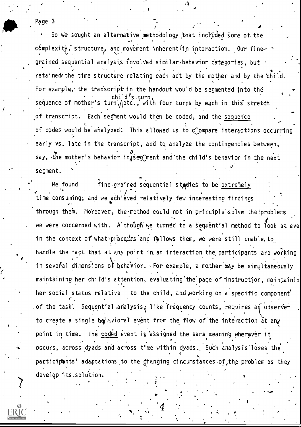## Page 3

So we sought an alternative methodology that incYuded some of the  $\epsilon$ 6mplexity, structure, and movement inherent in interaction. Our fine-  $\cdot$ grained sequential analysis involved similar, behavior categories, but retained the time structure relating each act by the mother and by the child. For example, the transcript in the handout would be segmented into the child's turn,<br>sequence of mother's turn, jetc., with four turns by each in this stretch of transcript. Each segment would then be coded, and the sequence of codes would be analyzed: This allowed us to compare interactions occur early vs. late in the transcript, and to analyze the contingencies between, a say, the mother's behavior in is egonent and the child's behavior in the next segment.

 $\overrightarrow{a}$ 

e time consuming; and we achieved relatively few interesting findings and all  $\sim$ a We found fine-grained sequential studies to be extremely through them. Moreover, the method could not in principle solve the problems we were concerned with. Although we turned to a sequential method to look at eve in the context of what precedes and follows them, we were still unable to handle the fact that at any point in an interaction the participants are working in several dimensions of behavior.  $\overline{P}$  For example, a mother may be simultaneously maintaining her child's attention, evaluating the pace of instruction, maintainin her social status relative to the child, and working on a specific component of the task'. Sequential analysis; like frequency counts, requires an observer . , . . to create a single beth vioral event from the flow of the interaction at any point in time. The coded event is assigned the same meaning wherever it  $\star$  occurs, across dyads and across time within dyads. Such analysis loses the participants' adaptations to the ghanging cincumstances of the problem as they develop its .solution.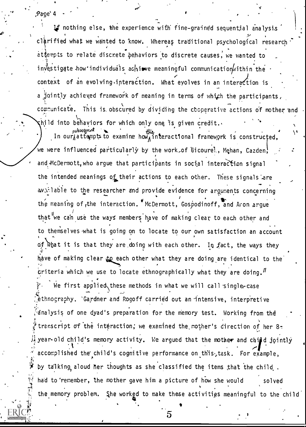Page' 4

If nothing else, the experience with fine-grained sequential analysis clarified what we wanted to know. Whereas traditional psychological research attempts to relate discrete behaviors to discrete causes, we wanted to investigate how individuals achieve meaningful communication within the context of an evolving interaction. What evolves in an interaction is a jointly achieved framework of meaning in terms of which the participants, communicate. This is obscured by dividing the cooperative actions of mother and  $\mathsf{q}\mathsf{h}$ ild into be $\mathsf{h}$ aviors for which only one is given credit. $\mathsf{h}$ In our attampts to examine how, interactional framework is constructed, we were influenced particularly by the work of Gicourel, Mehan, Cazden, and McDermott, who argue that participants in social interaction signal the intended meanings of their actions to each other. These signals are available to the researcher and provide evidence for arguments concerning the meaning of the interaction. "McDermott, Gospodinoff, and Aron argue that we can use the ways members have of making clear to each other and to themselves what is going on to locate to our own satisfaction an account of what it is that they are doing with each other. In fact, the ways they have of making clear to each other what they are doing are identical to the criteria which we use to locate ethnographically what they are doing.  $I$ We first applied these methods in what we will call single-case ethnography. `Gardner and Rogoff carried out an intensive, interpretive dnalysis of one dyad's preparation for the memory test. Working from the transcript of the interaction; we examined the mother's direction of her 8year-old child's memory activity. We argued that the mother and child jointly accomplished the child's cognitive performance on this, task. For example, by talking aloud her thoughts as she classified the items that the child. had to 'remember, the mother gave him a picture of how she would solved the memory problem. She worked to make these activities meaningful to the child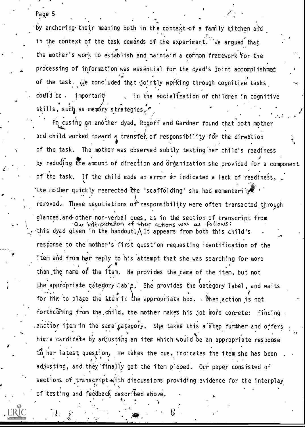## Page 5

Andrew Constitution by anchoring their meaning both in the context of a family kitchen and in the context of the task demands of the experiment. We argued that the mother's work to establish and maintain a common framework for the processing of information was essential for the cyad's joint accomplishmet of the task. We concluded that jointly working through cognitive tasks could be important in the socialization of children in cognitive i skills, such as me $p$ ory strategies,

 $\mathcal{P}_k(\cdot) = \frac{1}{2}$ 

Fo cusing on another dyad, Rogoff and Gardner found that both mother and child worked toward a transfer of responsibility for the direction of the task. The mother was observed subtly testing her child's readiness by reduding the amount of direction and organization she provided for a component of the task. If the child made an error or indicated a lack of readiness, 'the mother quickly reerected the 'scaffolding' she had momentarily removed. These negotiations of responsibility were often transacted, through glances and other non-verbal cues, as in the section of transcript from Our interpretation of their actions was as follows: this dyad given in the handout;  $\Lambda$  It appears from both this child's response to the mother's first question requesting identification of the item and from her reply to his attempt that she was searching for more than the name of the item. He provides the name of the item, but not the appropriate category lable. She provides the category label, and waits for him to place the item in the appropriate box. . When action is not forthcoming from the child, the mother makes his job more conrete: finding another item in the same category. She takes this a step further and offers him a candidate by adjusting an item which would be an appropriate response to her latest question. He takes the cue, indicates the item she has been t de la adjusting, and they finally get the item placed. Our paper consisted of sections of transcript with discussions providing evidence for the interplay of 'testing and feedback described above.

. 4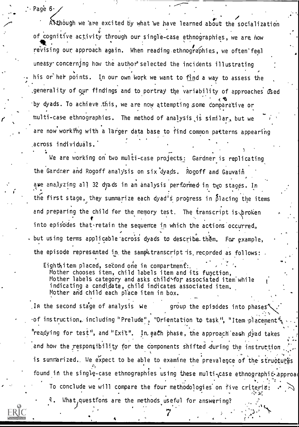$\cdot$  Page 6.

AN though we are excited by what we have learned about the socialization  $\epsilon$ <sub>i</sub> of cognitive activity through our single-case ethnographies, we are now . the second three seconds of the second three seconds of the second three seconds of the second three seconds of the second three seconds of the seco revising our approach again. When reading ethnographies, we often'feel uneasy- concerning how the author' selected the incidents illustrating his or her points. In our own work we want to find a way to assess the ,generality of our findings and to portray the variability of approaches used by dyads. To achieve .this, we are now attempting some Comparative or multi-case ethnographies. The method of analysis ,is similar,, but we are now working with a larger data base to find common patterns appearing .across individuals.

We are working on two multi-case projects: Gardner is replicating the Gardner and Rogoff analysis on six dyads. Rogoff and Gauvain ase analyzing all 32 dyads in an analysis performed in two stages. In the first stage, they summarize each dyad's progress in  $\delta$ lacing the items and preparing the child for the memory test. The transcript is broken into episodes that-retain the sequence in which the actions occurred, . but using terms applicable 'across dyads to describe\_them. For example, the episode represented in the sample transcript is recorded as follows:

 $\mathcal{E}$ ighthitem placed, second one in compartment:,  $\mathcal{E}^{(1)}$  ,  $\mathcal{E}^{(2)}$  ,  $\mathcal{E}^{(3)}$  ,  $\mathcal{E}^{(4)}$  ,  $\mathcal{E}^{(5)}$  ,  $\mathcal{E}^{(6)}$  ,  $\mathcal{E}^{(7)}$  ,  $\mathcal{E}^{(8)}$  ,  $\mathcal{E}^{(8)}$  ,  $\mathcal{E}^{(8)}$  ,  $\mathcal{E}^{(8)}$  ,  $\$ Mother chooses item, child labels item and its function, Mother labels category and asks child for associated item while indicating a candidate, child indicates associated item. Mother and child each place item in box.

In the second stage of analysis we group the episodes into phases<sup>\*</sup> of instruction, including "Prelude", "Orientation to task", "Item placement" "readying for test", and "Exit". In each phase, the approach each dyad takes and how the responsibility for the components shifted during the instruction . is summarized. We expect to be able to examine the prevalence of the structures found in the single-case ethnographies using these multi-case ethnographic approad To conclude we will compare the four methodologies on five criteria:  $\forall x, \ldots$ 

What questions are the methods useful for answering? .

a Angkara na katalog na katalog na katalog na katalog na katalog na katalog na katalog na katalog na katalog n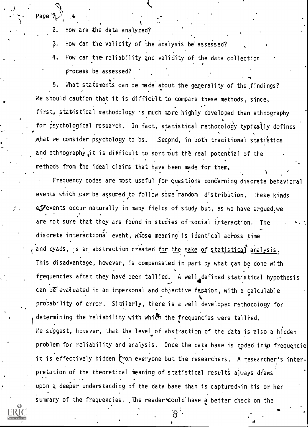How are the data analyzed?

 $\zeta$  - Page  $\gamma$  +

 $\mathcal{F}^{\text{in}}$ 

 $\mathbf{z}$ 

3. How can the validity of the analysis be' assessed?

4. How can the reliability and validity of the data collection .

process be assessed?<br>5. What statements can be made about the generality of the findings? . . . We should caution that it is difficult to compare these methods, since, first, statistical methodology is much more highly developed than ethnography for psychological research. In fact, statistical methodology typically defines what we consider psychology to be. Second, in both traditional statistics and ethnography it is difficult to sort out the real potential of the , . methods from the ideal claims that have been made for them.  $\sqrt{2}$ 

Frequency codes are most useful for questions concerning discrete behavioral events which car be assumed to follow some random distribution. These kinds of events occur naturally in many fields of study but, as we have argued, we are not sure that they are found in studies of social interaction. The discrete interactional event, whose meaning is identical across time and dyads, is an abstraction created for the sake of statistical analysis. This disadvantage, however, is compensated in part by what can be done with frequencies after they have been tallied. A well defined statistical hypothesis ..., can be evaluated in an impersonal and objective fashion, with a calculable  $\hspace{0.1cm}$ . pro $\stackrel{\bullet}{\text{b}}$ ability of error. Similarly, there is a well developed methodology for determining the reliability with which the frequencies were tallied. We suggest, however, that the level of abstraction of the data is also a hidden ... problem for reliability and analysis. Once the data base is coded intp frequencie it is effectively hidden from everyone but the researchers. A researcher's interpretation of the theoretical meaning of statistical results always draws upon a deeper understanding of the data base than is captured in his or her summary of the frequencies. , The reader could have a better check on the

AV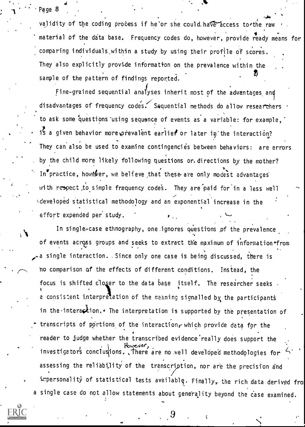## 1 "' Page 8

 $\sim$ 

validity of the coding process if he or she could have access to the raw material of the data base. Frequency codes do, however, provide ready means for comparing individuals within a study by using their profile of scores. They also explicitly provide information on the prevalence within the sample of the pattern of findings reported.

 $\sim$ Fine-grained sequential analyses inherit most of the advantages and disadvantages of frequency codes. Sequential methods do allow researchers . to ask some questions using sequence of events as a variable: for example, if a given behavior more prevalent earlier or later in the interaction? They can also be used to examine contingencies between behaviors: are errors by the child more likely following questions or. directions by the mother? In<sup>o</sup>practice, however, we believe that these are only modest advantages with respect to simple frequency codes. They are paid for in a less well **\developed statistical methodology and an exponential increase in the** effort expended per study.

In single-case ethnography, one ignores questions of the prevalence of events across groups and seeks to extract the maximum of information from  $\epsilon$ , and the set of  $\epsilon$ -a single interaction. Since only one case is being discussed, there is no comparison of the effects of different conditions. Instead, the focus is shifted closer to the data base itself. The researcher seeks a consistent interpretation of the meaning signalled by the participants in the interaction.  $\epsilon$  The interpretation is supported by the presentation of transcripts of portions of the interaction, which provide data for the reader to judge whether the transcribed evidence really does support the investigators conclusions. There are no well developed methodologies for assessing the reliability of the transcription, nor are the precision and impersonality of statistical tests available. Finally, the rich data derived fro a single case do not allow statements about generality beyond the case examined.



 $9$  is a set of the set of the set of the set of the set of the set of the set of the set of the set of the set of the set of the set of the set of the set of the set of the set of the set of the set of the set of the set

 $\overline{\phantom{a}}$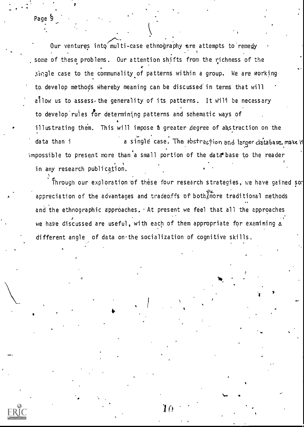Our ventures into multi-case ethnography are attempts to remegy i , some of these problems. Our attention shifts from the richness of the single case to the communality of patterns within a group. We are working to, develop methods Whereby meaning can be discussed in terms that will  $a^{\dagger}$ low us to assess, the generality of its patterns. It will be necessary to develop rules for determining patterns and schematic ways of illustrating them. This will impose a greater degree of abstraction on the data than i a single case. The abstrection and larger database, make it impossible to present more than a small portion of the data base to the reader in any research publication.

Through our exploration of these four research strategies, we have gained sor appreciation of the advantages and tradeoffs of bothAmore traditional methods and the ethnographic approaches,  $\cdot$  At present we feel that all the approaches we have discussed are useful, with each of them appropriate for examining a different angle of data on the socialization of cognitive skills.

 $10$ 

1.4